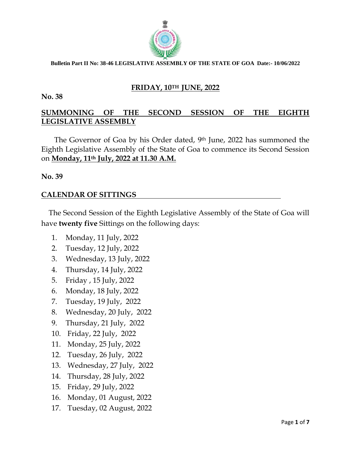

## **FRIDAY, 10TH JUNE, 2022**

#### **No. 38**

# **SUMMONING OF THE SECOND SESSION OF THE EIGHTH LEGISLATIVE ASSEMBLY**

 The Governor of Goa by his Order dated, 9th June, 2022 has summoned the Eighth Legislative Assembly of the State of Goa to commence its Second Session on **Monday, 11th July, 2022 at 11.30 A.M.**

### **No. 39**

## **CALENDAR OF SITTINGS**

 The Second Session of the Eighth Legislative Assembly of the State of Goa will have **twenty five** Sittings on the following days:

- 1. Monday, 11 July, 2022
- 2. Tuesday, 12 July, 2022
- 3. Wednesday, 13 July, 2022
- 4. Thursday, 14 July, 2022
- 5. Friday , 15 July, 2022
- 6. Monday, 18 July, 2022
- 7. Tuesday, 19 July, 2022
- 8. Wednesday, 20 July, 2022
- 9. Thursday, 21 July, 2022
- 10. Friday, 22 July, 2022
- 11. Monday, 25 July, 2022
- 12. Tuesday, 26 July, 2022
- 13. Wednesday, 27 July, 2022
- 14. Thursday, 28 July, 2022
- 15. Friday, 29 July, 2022
- 16. Monday, 01 August, 2022
- 17. Tuesday, 02 August, 2022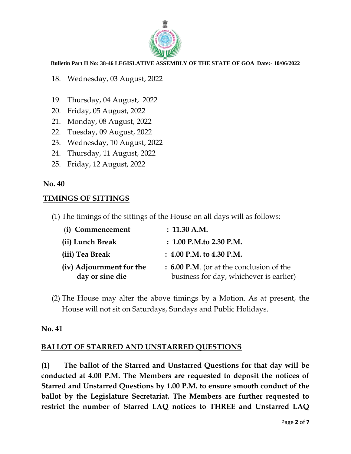

- 18. Wednesday, 03 August, 2022
- 19. Thursday, 04 August, 2022
- 20. Friday, 05 August, 2022
- 21. Monday, 08 August, 2022
- 22. Tuesday, 09 August, 2022
- 23. Wednesday, 10 August, 2022
- 24. Thursday, 11 August, 2022
- 25. Friday, 12 August, 2022

## **No. 40**

## **TIMINGS OF SITTINGS**

(1) The timings of the sittings of the House on all days will as follows:

| (i) Commencement                            | : 11.30 A.M.                                                                        |
|---------------------------------------------|-------------------------------------------------------------------------------------|
| (ii) Lunch Break                            | $: 1.00$ P.M.to 2.30 P.M.                                                           |
| (iii) Tea Break                             | $: 4.00$ P.M. to 4.30 P.M.                                                          |
| (iv) Adjournment for the<br>day or sine die | : 6.00 P.M. (or at the conclusion of the<br>business for day, whichever is earlier) |

(2) The House may alter the above timings by a Motion. As at present, the House will not sit on Saturdays, Sundays and Public Holidays.

## **No. 41**

# **BALLOT OF STARRED AND UNSTARRED QUESTIONS**

**(1) The ballot of the Starred and Unstarred Questions for that day will be conducted at 4.00 P.M. The Members are requested to deposit the notices of Starred and Unstarred Questions by 1.00 P.M. to ensure smooth conduct of the ballot by the Legislature Secretariat. The Members are further requested to restrict the number of Starred LAQ notices to THREE and Unstarred LAQ**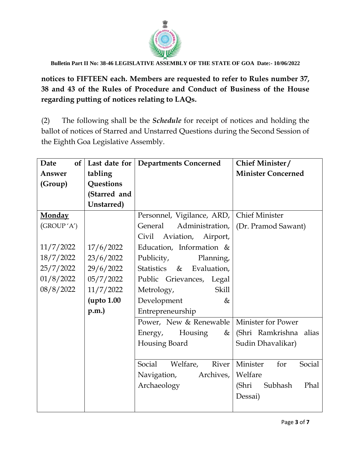

**notices to FIFTEEN each. Members are requested to refer to Rules number 37, 38 and 43 of the Rules of Procedure and Conduct of Business of the House regarding putting of notices relating to LAQs.**

(2) The following shall be the *Schedule* for receipt of notices and holding the ballot of notices of Starred and Unstarred Questions during the Second Session of the Eighth Goa Legislative Assembly.

| <b>Date</b><br><b>of</b> |              | Last date for   Departments Concerned     | Chief Minister/           |
|--------------------------|--------------|-------------------------------------------|---------------------------|
| Answer                   | tabling      |                                           | <b>Minister Concerned</b> |
| (Group)                  | Questions    |                                           |                           |
|                          | (Starred and |                                           |                           |
|                          | Unstarred)   |                                           |                           |
| <b>Monday</b>            |              | Personnel, Vigilance, ARD, Chief Minister |                           |
| (GROUP 'A')              |              | General<br>Administration,                | (Dr. Pramod Sawant)       |
|                          |              | Civil<br>Aviation,<br>Airport,            |                           |
| 11/7/2022                | 17/6/2022    | Education, Information &                  |                           |
| 18/7/2022                | 23/6/2022    | Publicity,<br>Planning,                   |                           |
| 25/7/2022                | 29/6/2022    | Statistics & Evaluation,                  |                           |
| 01/8/2022                | 05/7/2022    | Public Grievances, Legal                  |                           |
| 08/8/2022                | 11/7/2022    | <b>Skill</b><br>Metrology,                |                           |
|                          | upto 1.00    | Development<br>&                          |                           |
|                          | p.m.         | Entrepreneurship                          |                           |
|                          |              | Power, New & Renewable                    | Minister for Power        |
|                          |              | Housing<br>Energy,<br>&                   | (Shri Ramkrishna alias    |
|                          |              | Housing Board                             | Sudin Dhavalikar)         |
|                          |              |                                           |                           |
|                          |              | Social<br>Welfare,<br>River               | Minister<br>Social<br>for |
|                          |              | Archives,<br>Navigation,                  | Welfare                   |
|                          |              | Archaeology                               | (Shri<br>Subhash<br>Phal  |
|                          |              |                                           | Dessai)                   |
|                          |              |                                           |                           |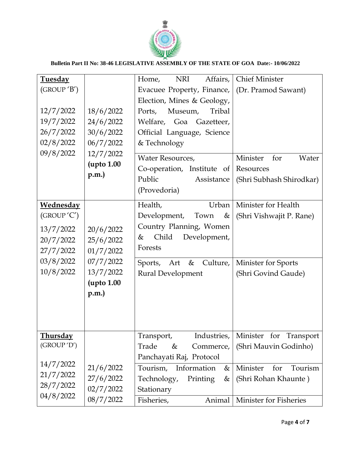

| <b>Tuesday</b>   |                    | Affairs,<br><b>NRI</b><br>Home, | <b>Chief Minister</b>         |
|------------------|--------------------|---------------------------------|-------------------------------|
| (GROUP 'B')      |                    | Evacuee Property, Finance,      | (Dr. Pramod Sawant)           |
|                  |                    | Election, Mines & Geology,      |                               |
| 12/7/2022        | 18/6/2022          | Tribal<br>Museum,<br>Ports,     |                               |
| 19/7/2022        | 24/6/2022          | Welfare,<br>Goa Gazetteer,      |                               |
| 26/7/2022        | 30/6/2022          | Official Language, Science      |                               |
| 02/8/2022        | 06/7/2022          | & Technology                    |                               |
| 09/8/2022        | 12/7/2022          | Water Resources,                | Minister<br>for<br>Water      |
|                  | <b>(upto 1.00)</b> | Co-operation, Institute of      | Resources                     |
|                  | p.m.               | Public                          |                               |
|                  |                    | Assistance<br>(Provedoria)      | (Shri Subhash Shirodkar)      |
|                  |                    |                                 |                               |
| <b>Wednesday</b> |                    | Health,<br>Urban                | Minister for Health           |
| (GROUP'C')       |                    | Development,<br>Town<br>&       | (Shri Vishwajit P. Rane)      |
| 13/7/2022        | 20/6/2022          | Country Planning, Women         |                               |
| 20/7/2022        | 25/6/2022          | Child<br>Development,<br>&      |                               |
| 27/7/2022        | 01/7/2022          | Forests                         |                               |
| 03/8/2022        | 07/7/2022          | Culture,<br>&<br>Sports,<br>Art | Minister for Sports           |
| 10/8/2022        | 13/7/2022          | <b>Rural Development</b>        | (Shri Govind Gaude)           |
|                  | (upto 1.00)        |                                 |                               |
|                  | p.m.               |                                 |                               |
|                  |                    |                                 |                               |
|                  |                    |                                 |                               |
|                  |                    |                                 |                               |
| <b>Thursday</b>  |                    | Industries,<br>Transport,       | Minister for<br>Transport     |
| (GROUP 'D')      |                    | Trade<br>&<br>Commerce,         | (Shri Mauvin Godinho)         |
|                  |                    | Panchayati Raj, Protocol        |                               |
| 14/7/2022        | 21/6/2022          | Tourism, Information<br>&       | Tourism<br>Minister<br>for    |
| 21/7/2022        | 27/6/2022          | Technology,<br>Printing<br>&    | (Shri Rohan Khaunte)          |
| 28/7/2022        | 02/7/2022          |                                 |                               |
| 04/8/2022        |                    | Stationary                      |                               |
|                  | 08/7/2022          | Fisheries,<br>Animal            | <b>Minister for Fisheries</b> |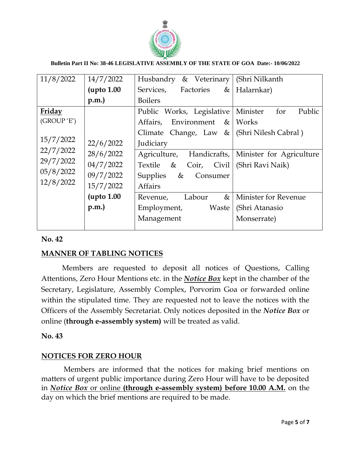

| 11/8/2022   | 14/7/2022  | Husbandry & Veterinary       | (Shri Nilkanth              |
|-------------|------------|------------------------------|-----------------------------|
|             | upto 1.00  | Services, Factories<br>$\&$  | Halarnkar)                  |
|             | p.m.       | <b>Boilers</b>               |                             |
| Friday      |            | Public Works, Legislative    | Minister<br>for<br>Public   |
| (GROUP 'E') |            | Environment &<br>Affairs,    | Works                       |
|             |            | Climate Change, Law $\&$     | (Shri Nilesh Cabral)        |
| 15/7/2022   | 22/6/2022  | Judiciary                    |                             |
| 22/7/2022   | 28/6/2022  | Agriculture, Handicrafts,    | Minister for Agriculture    |
| 29/7/2022   | 04/7/2022  | Textile &<br>$Coir,$ $Civil$ | (Shri Ravi Naik)            |
| 05/8/2022   | 09/7/2022  | &<br>Supplies<br>Consumer    |                             |
| 12/8/2022   | 15/7/2022  | <b>Affairs</b>               |                             |
|             | (upto 1.00 | Labour<br>&<br>Revenue,      | <b>Minister for Revenue</b> |
|             | p.m.       | Employment,<br>Waste         | (Shri Atanasio              |
|             |            | Management                   | Monserrate)                 |
|             |            |                              |                             |

## **No. 42**

# **MANNER OF TABLING NOTICES**

 Members are requested to deposit all notices of Questions, Calling Attentions, Zero Hour Mentions etc. in the *Notice Box* kept in the chamber of the Secretary, Legislature, Assembly Complex, Porvorim Goa or forwarded online within the stipulated time. They are requested not to leave the notices with the Officers of the Assembly Secretariat. Only notices deposited in the *Notice Box* or online (**through e-assembly system)** will be treated as valid.

## **No. 43**

## **NOTICES FOR ZERO HOUR**

Members are informed that the notices for making brief mentions on matters of urgent public importance during Zero Hour will have to be deposited in *Notice Box* or online **(through e-assembly system) before 10.00 A.M.** on the day on which the brief mentions are required to be made.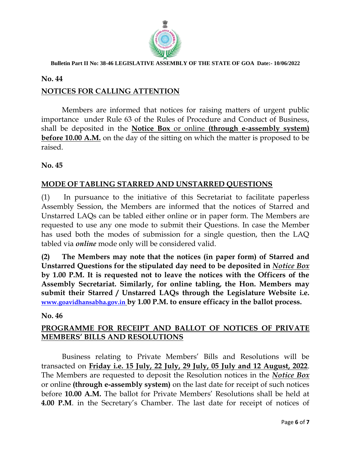

#### **No. 44**

# **NOTICES FOR CALLING ATTENTION**

Members are informed that notices for raising matters of urgent public importance under Rule 63 of the Rules of Procedure and Conduct of Business, shall be deposited in the **Notice Box** or online **(through e-assembly system) before 10.00 A.M.** on the day of the sitting on which the matter is proposed to be raised.

**No. 45**

## **MODE OF TABLING STARRED AND UNSTARRED QUESTIONS**

(1) In pursuance to the initiative of this Secretariat to facilitate paperless Assembly Session, the Members are informed that the notices of Starred and Unstarred LAQs can be tabled either online or in paper form. The Members are requested to use any one mode to submit their Questions. In case the Member has used both the modes of submission for a single question, then the LAQ tabled via *online* mode only will be considered valid.

**(2) The Members may note that the notices (in paper form) of Starred and Unstarred Questions for the stipulated day need to be deposited in** *Notice Box* **by 1.00 P.M. It is requested not to leave the notices with the Officers of the Assembly Secretariat. Similarly, for online tabling, the Hon. Members may submit their Starred / Unstarred LAQs through the Legislature Website i.e. [www.goavidhansabha.gov.in](http://www.goavidhansabha.gov.in/) by 1.00 P.M. to ensure efficacy in the ballot process.**

### **No. 46**

# **PROGRAMME FOR RECEIPT AND BALLOT OF NOTICES OF PRIVATE MEMBERS' BILLS AND RESOLUTIONS**

Business relating to Private Members' Bills and Resolutions will be transacted on **Friday i.e. 15 July, 22 July, 29 July, 05 July and 12 August, 2022**. The Members are requested to deposit the Resolution notices in the *Notice Box* or online **(through e-assembly system)** on the last date for receipt of such notices before **10.00 A.M.** The ballot for Private Members' Resolutions shall be held at **4.00 P.M**. in the Secretary's Chamber. The last date for receipt of notices of